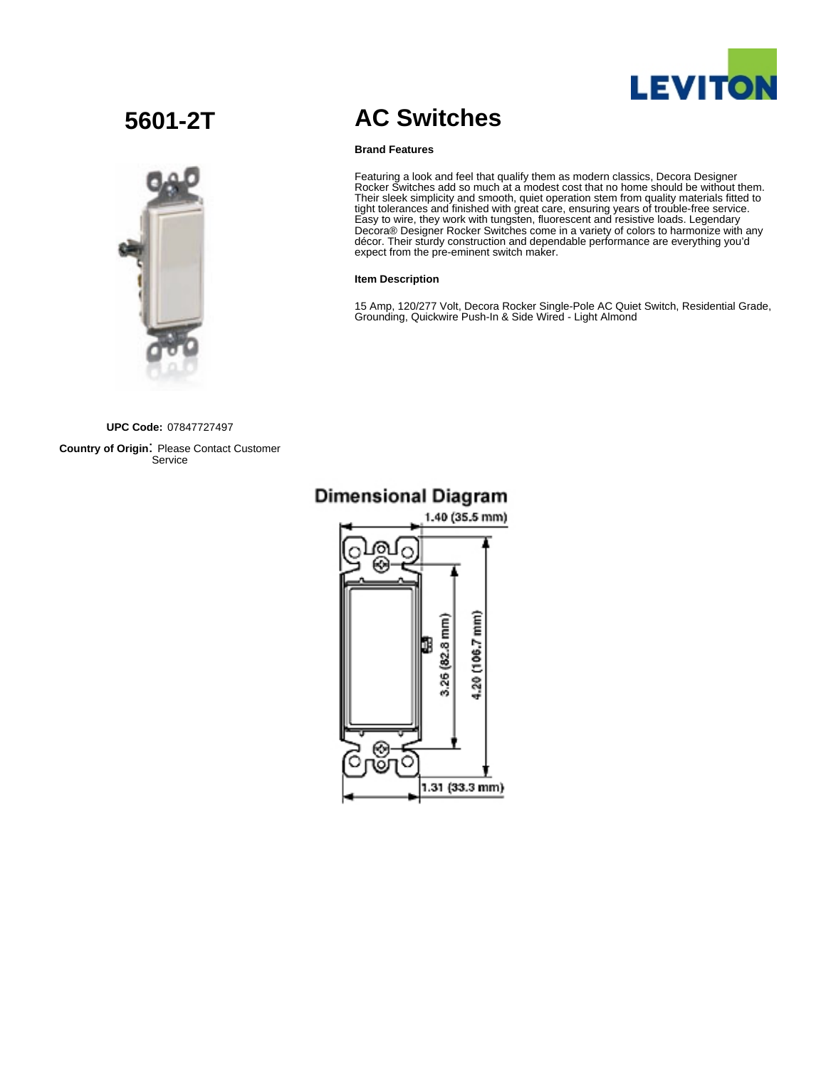

# **5601-2T**



# **AC Switches**

## **Brand Features**

Featuring a look and feel that qualify them as modern classics, Decora Designer Rocker Switches add so much at a modest cost that no home should be without them. Their sleek simplicity and smooth, quiet operation stem from quality materials fitted to tight tolerances and finished with great care, ensuring years of trouble-free service. Easy to wire, they work with tungsten, fluorescent and resistive loads. Legendary Decora® Designer Rocker Switches come in a variety of colors to harmonize with any décor. Their sturdy construction and dependable performance are everything you'd expect from the pre-eminent switch maker.

## **Item Description**

15 Amp, 120/277 Volt, Decora Rocker Single-Pole AC Quiet Switch, Residential Grade, Grounding, Quickwire Push-In & Side Wired - Light Almond

**UPC Code:** 07847727497

**Country of Origin**: Please Contact Customer Service

# 1.40 (35.5 mm) 4.20 (106.7 mm) .26 (82.8 mm) ⊛ С 1.31 (33.3 mm)

# **Dimensional Diagram**